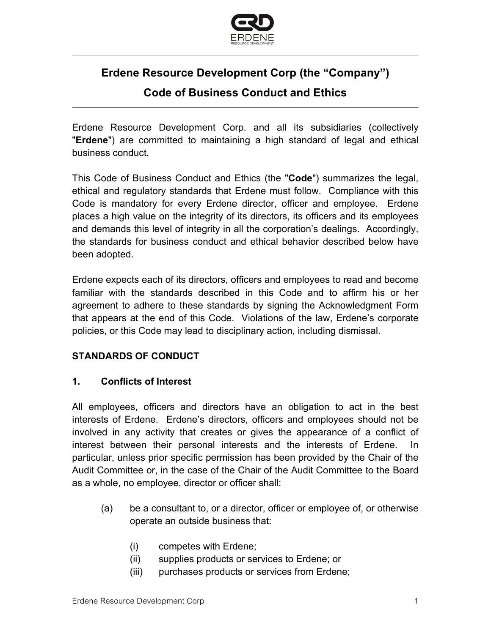

# **Erdene Resource Development Corp (the "Company")**

## **Code of Business Conduct and Ethics**

Erdene Resource Development Corp. and all its subsidiaries (collectively "**Erdene**") are committed to maintaining a high standard of legal and ethical business conduct.

This Code of Business Conduct and Ethics (the "**Code**") summarizes the legal, ethical and regulatory standards that Erdene must follow. Compliance with this Code is mandatory for every Erdene director, officer and employee. Erdene places a high value on the integrity of its directors, its officers and its employees and demands this level of integrity in all the corporation's dealings. Accordingly, the standards for business conduct and ethical behavior described below have been adopted.

Erdene expects each of its directors, officers and employees to read and become familiar with the standards described in this Code and to affirm his or her agreement to adhere to these standards by signing the Acknowledgment Form that appears at the end of this Code. Violations of the law, Erdene's corporate policies, or this Code may lead to disciplinary action, including dismissal.

## **STANDARDS OF CONDUCT**

#### **1. Conflicts of Interest**

All employees, officers and directors have an obligation to act in the best interests of Erdene. Erdene's directors, officers and employees should not be involved in any activity that creates or gives the appearance of a conflict of interest between their personal interests and the interests of Erdene. In particular, unless prior specific permission has been provided by the Chair of the Audit Committee or, in the case of the Chair of the Audit Committee to the Board as a whole, no employee, director or officer shall:

- (a) be a consultant to, or a director, officer or employee of, or otherwise operate an outside business that:
	- (i) competes with Erdene;
	- (ii) supplies products or services to Erdene; or
	- (iii) purchases products or services from Erdene;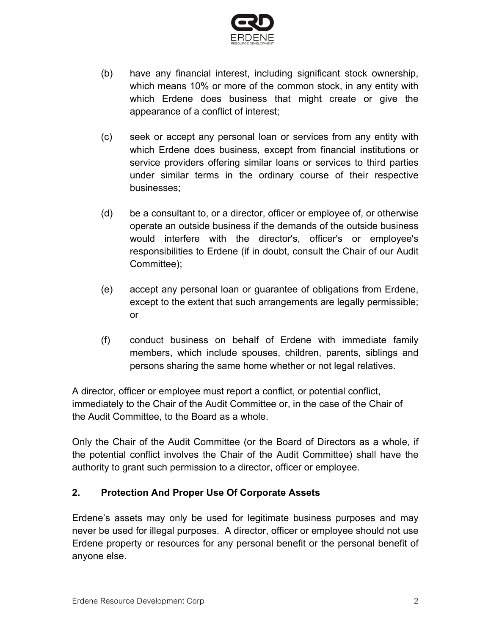

- (b) have any financial interest, including significant stock ownership, which means 10% or more of the common stock, in any entity with which Erdene does business that might create or give the appearance of a conflict of interest;
- (c) seek or accept any personal loan or services from any entity with which Erdene does business, except from financial institutions or service providers offering similar loans or services to third parties under similar terms in the ordinary course of their respective businesses;
- (d) be a consultant to, or a director, officer or employee of, or otherwise operate an outside business if the demands of the outside business would interfere with the director's, officer's or employee's responsibilities to Erdene (if in doubt, consult the Chair of our Audit Committee);
- (e) accept any personal loan or guarantee of obligations from Erdene, except to the extent that such arrangements are legally permissible; or
- (f) conduct business on behalf of Erdene with immediate family members, which include spouses, children, parents, siblings and persons sharing the same home whether or not legal relatives.

A director, officer or employee must report a conflict, or potential conflict, immediately to the Chair of the Audit Committee or, in the case of the Chair of the Audit Committee, to the Board as a whole.

Only the Chair of the Audit Committee (or the Board of Directors as a whole, if the potential conflict involves the Chair of the Audit Committee) shall have the authority to grant such permission to a director, officer or employee.

#### **2. Protection And Proper Use Of Corporate Assets**

Erdene's assets may only be used for legitimate business purposes and may never be used for illegal purposes. A director, officer or employee should not use Erdene property or resources for any personal benefit or the personal benefit of anyone else.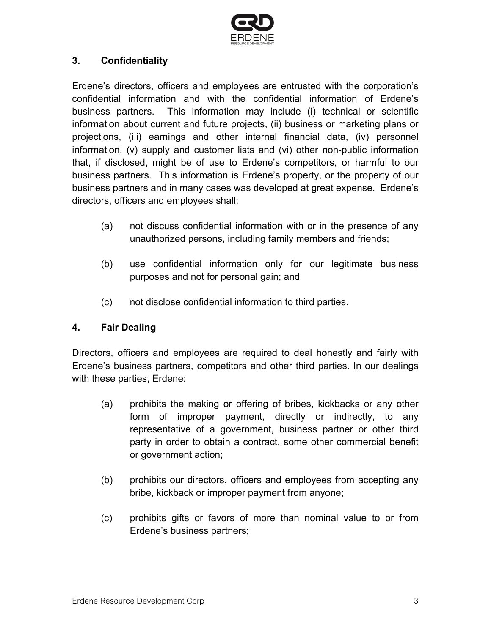

### **3. Confidentiality**

Erdene's directors, officers and employees are entrusted with the corporation's confidential information and with the confidential information of Erdene's business partners. This information may include (i) technical or scientific information about current and future projects, (ii) business or marketing plans or projections, (iii) earnings and other internal financial data, (iv) personnel information, (v) supply and customer lists and (vi) other non-public information that, if disclosed, might be of use to Erdene's competitors, or harmful to our business partners. This information is Erdene's property, or the property of our business partners and in many cases was developed at great expense. Erdene's directors, officers and employees shall:

- (a) not discuss confidential information with or in the presence of any unauthorized persons, including family members and friends;
- (b) use confidential information only for our legitimate business purposes and not for personal gain; and
- (c) not disclose confidential information to third parties.

#### **4. Fair Dealing**

Directors, officers and employees are required to deal honestly and fairly with Erdene's business partners, competitors and other third parties. In our dealings with these parties, Erdene:

- (a) prohibits the making or offering of bribes, kickbacks or any other form of improper payment, directly or indirectly, to any representative of a government, business partner or other third party in order to obtain a contract, some other commercial benefit or government action;
- (b) prohibits our directors, officers and employees from accepting any bribe, kickback or improper payment from anyone;
- (c) prohibits gifts or favors of more than nominal value to or from Erdene's business partners;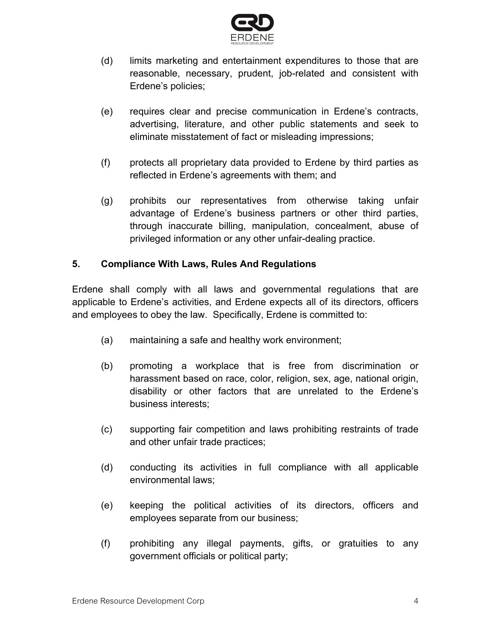

- (d) limits marketing and entertainment expenditures to those that are reasonable, necessary, prudent, job-related and consistent with Erdene's policies;
- (e) requires clear and precise communication in Erdene's contracts, advertising, literature, and other public statements and seek to eliminate misstatement of fact or misleading impressions;
- (f) protects all proprietary data provided to Erdene by third parties as reflected in Erdene's agreements with them; and
- (g) prohibits our representatives from otherwise taking unfair advantage of Erdene's business partners or other third parties, through inaccurate billing, manipulation, concealment, abuse of privileged information or any other unfair-dealing practice.

#### **5. Compliance With Laws, Rules And Regulations**

Erdene shall comply with all laws and governmental regulations that are applicable to Erdene's activities, and Erdene expects all of its directors, officers and employees to obey the law. Specifically, Erdene is committed to:

- (a) maintaining a safe and healthy work environment;
- (b) promoting a workplace that is free from discrimination or harassment based on race, color, religion, sex, age, national origin, disability or other factors that are unrelated to the Erdene's business interests;
- (c) supporting fair competition and laws prohibiting restraints of trade and other unfair trade practices;
- (d) conducting its activities in full compliance with all applicable environmental laws;
- (e) keeping the political activities of its directors, officers and employees separate from our business;
- (f) prohibiting any illegal payments, gifts, or gratuities to any government officials or political party;